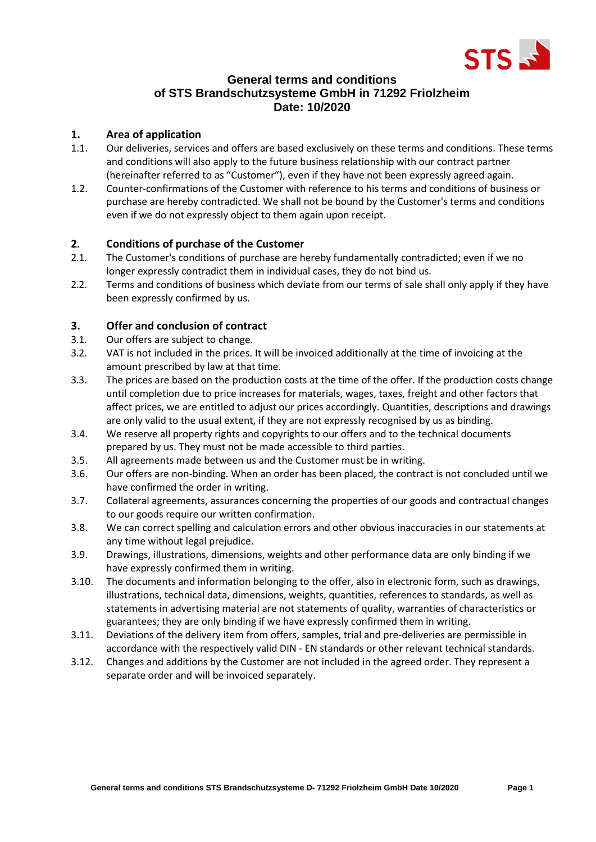

# **General terms and conditions of STS Brandschutzsysteme GmbH in 71292 Friolzheim Date: 10/2020**

## **1. Area of application**

- 1.1. Our deliveries, services and offers are based exclusively on these terms and conditions. These terms and conditions will also apply to the future business relationship with our contract partner (hereinafter referred to as "Customer"), even if they have not been expressly agreed again.
- 1.2. Counter-confirmations of the Customer with reference to his terms and conditions of business or purchase are hereby contradicted. We shall not be bound by the Customer's terms and conditions even if we do not expressly object to them again upon receipt.

## **2. Conditions of purchase of the Customer**

- 2.1. The Customer's conditions of purchase are hereby fundamentally contradicted; even if we no longer expressly contradict them in individual cases, they do not bind us.
- 2.2. Terms and conditions of business which deviate from our terms of sale shall only apply if they have been expressly confirmed by us.

# **3. Offer and conclusion of contract**

- 3.1. Our offers are subject to change.
- 3.2. VAT is not included in the prices. It will be invoiced additionally at the time of invoicing at the amount prescribed by law at that time.
- 3.3. The prices are based on the production costs at the time of the offer. If the production costs change until completion due to price increases for materials, wages, taxes, freight and other factors that affect prices, we are entitled to adjust our prices accordingly. Quantities, descriptions and drawings are only valid to the usual extent, if they are not expressly recognised by us as binding.
- 3.4. We reserve all property rights and copyrights to our offers and to the technical documents prepared by us. They must not be made accessible to third parties.
- 3.5. All agreements made between us and the Customer must be in writing.
- 3.6. Our offers are non-binding. When an order has been placed, the contract is not concluded until we have confirmed the order in writing.
- 3.7. Collateral agreements, assurances concerning the properties of our goods and contractual changes to our goods require our written confirmation.
- 3.8. We can correct spelling and calculation errors and other obvious inaccuracies in our statements at any time without legal prejudice.
- 3.9. Drawings, illustrations, dimensions, weights and other performance data are only binding if we have expressly confirmed them in writing.
- 3.10. The documents and information belonging to the offer, also in electronic form, such as drawings, illustrations, technical data, dimensions, weights, quantities, references to standards, as well as statements in advertising material are not statements of quality, warranties of characteristics or guarantees; they are only binding if we have expressly confirmed them in writing.
- 3.11. Deviations of the delivery item from offers, samples, trial and pre-deliveries are permissible in accordance with the respectively valid DIN - EN standards or other relevant technical standards.
- 3.12. Changes and additions by the Customer are not included in the agreed order. They represent a separate order and will be invoiced separately.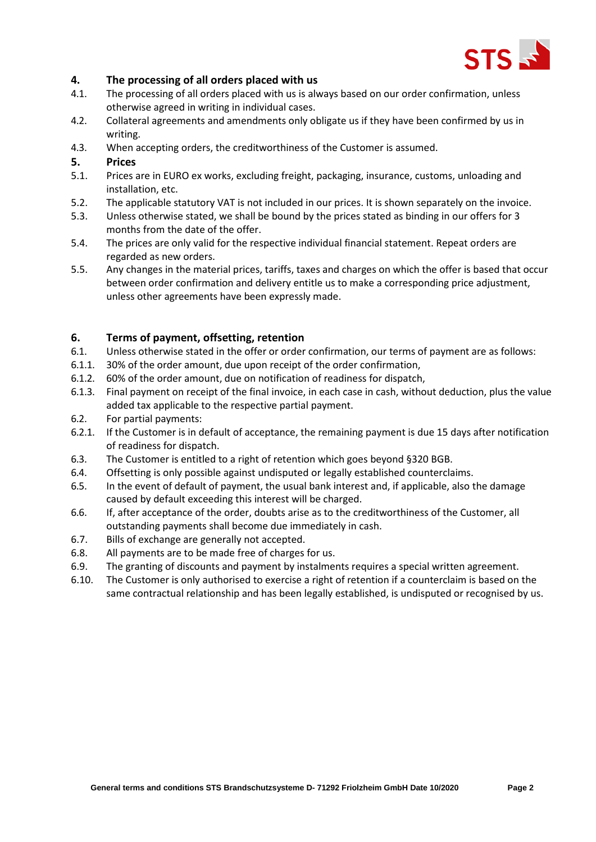

## **4. The processing of all orders placed with us**

- 4.1. The processing of all orders placed with us is always based on our order confirmation, unless otherwise agreed in writing in individual cases.
- 4.2. Collateral agreements and amendments only obligate us if they have been confirmed by us in writing.
- 4.3. When accepting orders, the creditworthiness of the Customer is assumed.

#### **5. Prices**

- 5.1. Prices are in EURO ex works, excluding freight, packaging, insurance, customs, unloading and installation, etc.
- 5.2. The applicable statutory VAT is not included in our prices. It is shown separately on the invoice.
- 5.3. Unless otherwise stated, we shall be bound by the prices stated as binding in our offers for 3 months from the date of the offer.
- 5.4. The prices are only valid for the respective individual financial statement. Repeat orders are regarded as new orders.
- 5.5. Any changes in the material prices, tariffs, taxes and charges on which the offer is based that occur between order confirmation and delivery entitle us to make a corresponding price adjustment, unless other agreements have been expressly made.

#### **6. Terms of payment, offsetting, retention**

- 6.1. Unless otherwise stated in the offer or order confirmation, our terms of payment are as follows:
- 6.1.1. 30% of the order amount, due upon receipt of the order confirmation,
- 6.1.2. 60% of the order amount, due on notification of readiness for dispatch,
- 6.1.3. Final payment on receipt of the final invoice, in each case in cash, without deduction, plus the value added tax applicable to the respective partial payment.
- 6.2. For partial payments:
- 6.2.1. If the Customer is in default of acceptance, the remaining payment is due 15 days after notification of readiness for dispatch.
- 6.3. The Customer is entitled to a right of retention which goes beyond §320 BGB.
- 6.4. Offsetting is only possible against undisputed or legally established counterclaims.
- 6.5. In the event of default of payment, the usual bank interest and, if applicable, also the damage caused by default exceeding this interest will be charged.
- 6.6. If, after acceptance of the order, doubts arise as to the creditworthiness of the Customer, all outstanding payments shall become due immediately in cash.
- 6.7. Bills of exchange are generally not accepted.
- 6.8. All payments are to be made free of charges for us.
- 6.9. The granting of discounts and payment by instalments requires a special written agreement.
- 6.10. The Customer is only authorised to exercise a right of retention if a counterclaim is based on the same contractual relationship and has been legally established, is undisputed or recognised by us.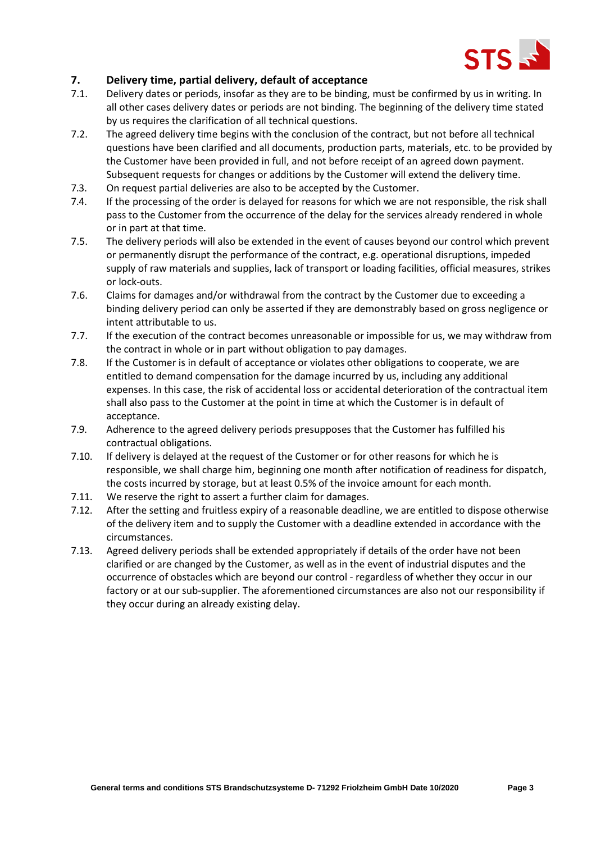

# **7. Delivery time, partial delivery, default of acceptance**

- 7.1. Delivery dates or periods, insofar as they are to be binding, must be confirmed by us in writing. In all other cases delivery dates or periods are not binding. The beginning of the delivery time stated by us requires the clarification of all technical questions.
- 7.2. The agreed delivery time begins with the conclusion of the contract, but not before all technical questions have been clarified and all documents, production parts, materials, etc. to be provided by the Customer have been provided in full, and not before receipt of an agreed down payment. Subsequent requests for changes or additions by the Customer will extend the delivery time.
- 7.3. On request partial deliveries are also to be accepted by the Customer.
- 7.4. If the processing of the order is delayed for reasons for which we are not responsible, the risk shall pass to the Customer from the occurrence of the delay for the services already rendered in whole or in part at that time.
- 7.5. The delivery periods will also be extended in the event of causes beyond our control which prevent or permanently disrupt the performance of the contract, e.g. operational disruptions, impeded supply of raw materials and supplies, lack of transport or loading facilities, official measures, strikes or lock-outs.
- 7.6. Claims for damages and/or withdrawal from the contract by the Customer due to exceeding a binding delivery period can only be asserted if they are demonstrably based on gross negligence or intent attributable to us.
- 7.7. If the execution of the contract becomes unreasonable or impossible for us, we may withdraw from the contract in whole or in part without obligation to pay damages.
- 7.8. If the Customer is in default of acceptance or violates other obligations to cooperate, we are entitled to demand compensation for the damage incurred by us, including any additional expenses. In this case, the risk of accidental loss or accidental deterioration of the contractual item shall also pass to the Customer at the point in time at which the Customer is in default of acceptance.
- 7.9. Adherence to the agreed delivery periods presupposes that the Customer has fulfilled his contractual obligations.
- 7.10. If delivery is delayed at the request of the Customer or for other reasons for which he is responsible, we shall charge him, beginning one month after notification of readiness for dispatch, the costs incurred by storage, but at least 0.5% of the invoice amount for each month.
- 7.11. We reserve the right to assert a further claim for damages.
- 7.12. After the setting and fruitless expiry of a reasonable deadline, we are entitled to dispose otherwise of the delivery item and to supply the Customer with a deadline extended in accordance with the circumstances.
- 7.13. Agreed delivery periods shall be extended appropriately if details of the order have not been clarified or are changed by the Customer, as well as in the event of industrial disputes and the occurrence of obstacles which are beyond our control - regardless of whether they occur in our factory or at our sub-supplier. The aforementioned circumstances are also not our responsibility if they occur during an already existing delay.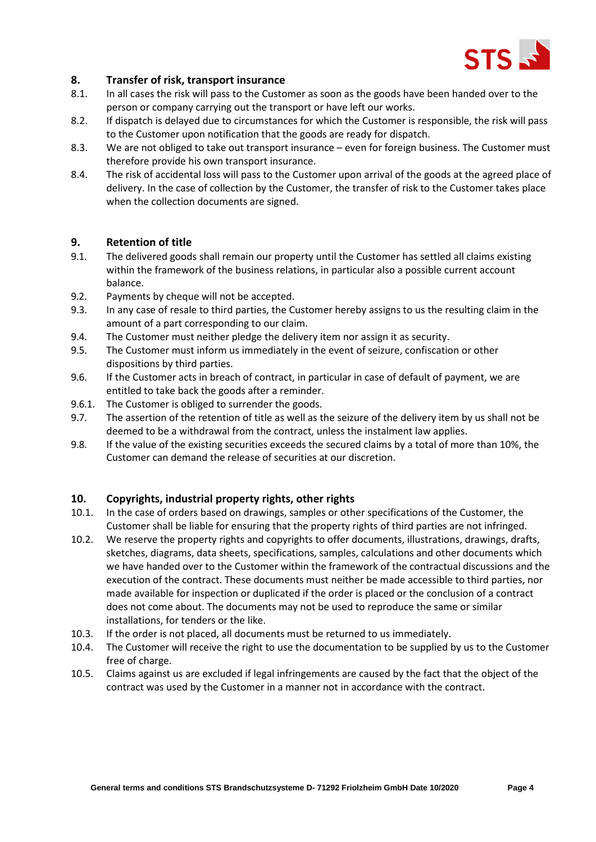

### **8. Transfer of risk, transport insurance**

- 8.1. In all cases the risk will pass to the Customer as soon as the goods have been handed over to the person or company carrying out the transport or have left our works.
- 8.2. If dispatch is delayed due to circumstances for which the Customer is responsible, the risk will pass to the Customer upon notification that the goods are ready for dispatch.
- 8.3. We are not obliged to take out transport insurance even for foreign business. The Customer must therefore provide his own transport insurance.
- 8.4. The risk of accidental loss will pass to the Customer upon arrival of the goods at the agreed place of delivery. In the case of collection by the Customer, the transfer of risk to the Customer takes place when the collection documents are signed.

#### **9. Retention of title**

- 9.1. The delivered goods shall remain our property until the Customer has settled all claims existing within the framework of the business relations, in particular also a possible current account balance.
- 9.2. Payments by cheque will not be accepted.
- 9.3. In any case of resale to third parties, the Customer hereby assigns to us the resulting claim in the amount of a part corresponding to our claim.
- 9.4. The Customer must neither pledge the delivery item nor assign it as security.
- 9.5. The Customer must inform us immediately in the event of seizure, confiscation or other dispositions by third parties.
- 9.6. If the Customer acts in breach of contract, in particular in case of default of payment, we are entitled to take back the goods after a reminder.
- 9.6.1. The Customer is obliged to surrender the goods.
- 9.7. The assertion of the retention of title as well as the seizure of the delivery item by us shall not be deemed to be a withdrawal from the contract, unless the instalment law applies.
- 9.8. If the value of the existing securities exceeds the secured claims by a total of more than 10%, the Customer can demand the release of securities at our discretion.

## **10. Copyrights, industrial property rights, other rights**

- 10.1. In the case of orders based on drawings, samples or other specifications of the Customer, the Customer shall be liable for ensuring that the property rights of third parties are not infringed.
- 10.2. We reserve the property rights and copyrights to offer documents, illustrations, drawings, drafts, sketches, diagrams, data sheets, specifications, samples, calculations and other documents which we have handed over to the Customer within the framework of the contractual discussions and the execution of the contract. These documents must neither be made accessible to third parties, nor made available for inspection or duplicated if the order is placed or the conclusion of a contract does not come about. The documents may not be used to reproduce the same or similar installations, for tenders or the like.
- 10.3. If the order is not placed, all documents must be returned to us immediately.
- 10.4. The Customer will receive the right to use the documentation to be supplied by us to the Customer free of charge.
- 10.5. Claims against us are excluded if legal infringements are caused by the fact that the object of the contract was used by the Customer in a manner not in accordance with the contract.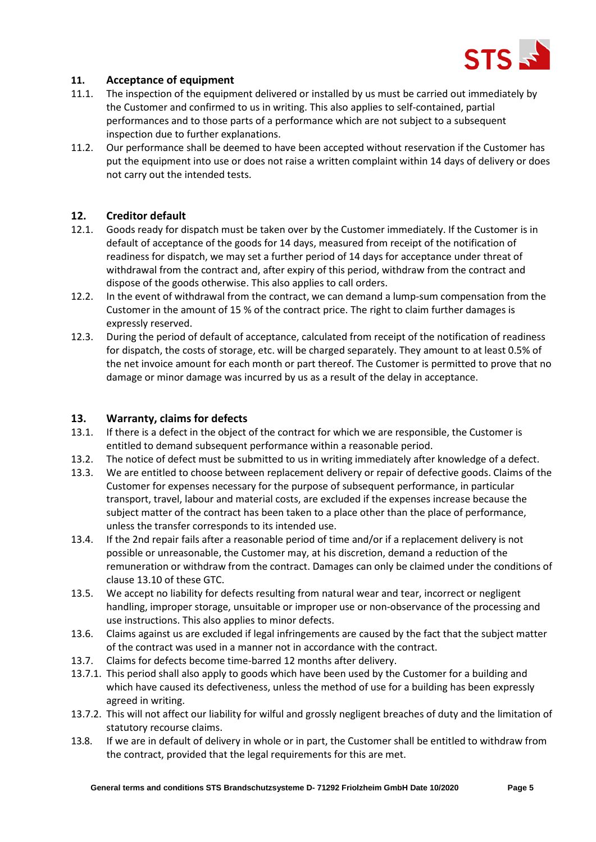

## **11. Acceptance of equipment**

- 11.1. The inspection of the equipment delivered or installed by us must be carried out immediately by the Customer and confirmed to us in writing. This also applies to self-contained, partial performances and to those parts of a performance which are not subject to a subsequent inspection due to further explanations.
- 11.2. Our performance shall be deemed to have been accepted without reservation if the Customer has put the equipment into use or does not raise a written complaint within 14 days of delivery or does not carry out the intended tests.

### **12. Creditor default**

- 12.1. Goods ready for dispatch must be taken over by the Customer immediately. If the Customer is in default of acceptance of the goods for 14 days, measured from receipt of the notification of readiness for dispatch, we may set a further period of 14 days for acceptance under threat of withdrawal from the contract and, after expiry of this period, withdraw from the contract and dispose of the goods otherwise. This also applies to call orders.
- 12.2. In the event of withdrawal from the contract, we can demand a lump-sum compensation from the Customer in the amount of 15 % of the contract price. The right to claim further damages is expressly reserved.
- 12.3. During the period of default of acceptance, calculated from receipt of the notification of readiness for dispatch, the costs of storage, etc. will be charged separately. They amount to at least 0.5% of the net invoice amount for each month or part thereof. The Customer is permitted to prove that no damage or minor damage was incurred by us as a result of the delay in acceptance.

#### **13. Warranty, claims for defects**

- 13.1. If there is a defect in the object of the contract for which we are responsible, the Customer is entitled to demand subsequent performance within a reasonable period.
- 13.2. The notice of defect must be submitted to us in writing immediately after knowledge of a defect.
- 13.3. We are entitled to choose between replacement delivery or repair of defective goods. Claims of the Customer for expenses necessary for the purpose of subsequent performance, in particular transport, travel, labour and material costs, are excluded if the expenses increase because the subject matter of the contract has been taken to a place other than the place of performance, unless the transfer corresponds to its intended use.
- 13.4. If the 2nd repair fails after a reasonable period of time and/or if a replacement delivery is not possible or unreasonable, the Customer may, at his discretion, demand a reduction of the remuneration or withdraw from the contract. Damages can only be claimed under the conditions of clause 13.10 of these GTC.
- 13.5. We accept no liability for defects resulting from natural wear and tear, incorrect or negligent handling, improper storage, unsuitable or improper use or non-observance of the processing and use instructions. This also applies to minor defects.
- 13.6. Claims against us are excluded if legal infringements are caused by the fact that the subject matter of the contract was used in a manner not in accordance with the contract.
- 13.7. Claims for defects become time-barred 12 months after delivery.
- 13.7.1. This period shall also apply to goods which have been used by the Customer for a building and which have caused its defectiveness, unless the method of use for a building has been expressly agreed in writing.
- 13.7.2. This will not affect our liability for wilful and grossly negligent breaches of duty and the limitation of statutory recourse claims.
- 13.8. If we are in default of delivery in whole or in part, the Customer shall be entitled to withdraw from the contract, provided that the legal requirements for this are met.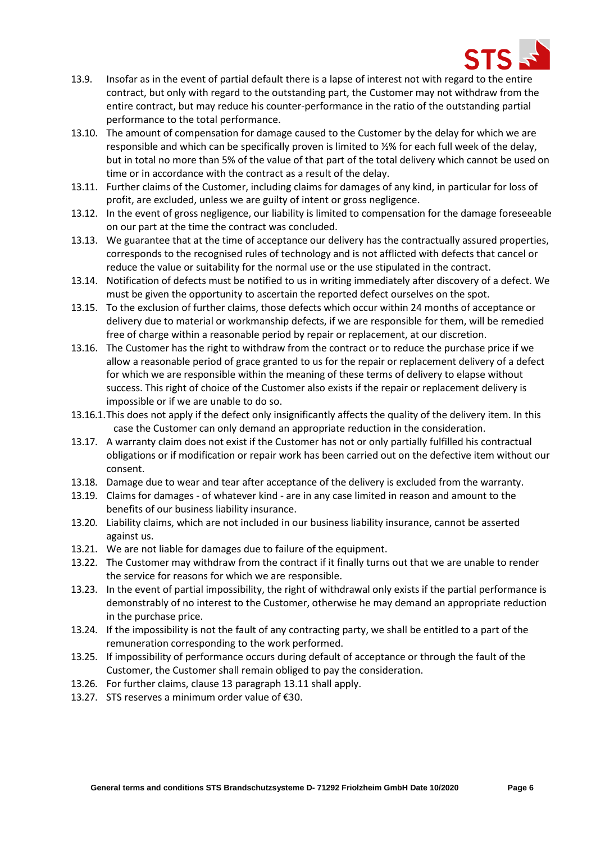

- 13.9. Insofar as in the event of partial default there is a lapse of interest not with regard to the entire contract, but only with regard to the outstanding part, the Customer may not withdraw from the entire contract, but may reduce his counter-performance in the ratio of the outstanding partial performance to the total performance.
- 13.10. The amount of compensation for damage caused to the Customer by the delay for which we are responsible and which can be specifically proven is limited to ½% for each full week of the delay, but in total no more than 5% of the value of that part of the total delivery which cannot be used on time or in accordance with the contract as a result of the delay.
- 13.11. Further claims of the Customer, including claims for damages of any kind, in particular for loss of profit, are excluded, unless we are guilty of intent or gross negligence.
- 13.12. In the event of gross negligence, our liability is limited to compensation for the damage foreseeable on our part at the time the contract was concluded.
- 13.13. We guarantee that at the time of acceptance our delivery has the contractually assured properties, corresponds to the recognised rules of technology and is not afflicted with defects that cancel or reduce the value or suitability for the normal use or the use stipulated in the contract.
- 13.14. Notification of defects must be notified to us in writing immediately after discovery of a defect. We must be given the opportunity to ascertain the reported defect ourselves on the spot.
- 13.15. To the exclusion of further claims, those defects which occur within 24 months of acceptance or delivery due to material or workmanship defects, if we are responsible for them, will be remedied free of charge within a reasonable period by repair or replacement, at our discretion.
- 13.16. The Customer has the right to withdraw from the contract or to reduce the purchase price if we allow a reasonable period of grace granted to us for the repair or replacement delivery of a defect for which we are responsible within the meaning of these terms of delivery to elapse without success. This right of choice of the Customer also exists if the repair or replacement delivery is impossible or if we are unable to do so.
- 13.16.1.This does not apply if the defect only insignificantly affects the quality of the delivery item. In this case the Customer can only demand an appropriate reduction in the consideration.
- 13.17. A warranty claim does not exist if the Customer has not or only partially fulfilled his contractual obligations or if modification or repair work has been carried out on the defective item without our consent.
- 13.18. Damage due to wear and tear after acceptance of the delivery is excluded from the warranty.
- 13.19. Claims for damages of whatever kind are in any case limited in reason and amount to the benefits of our business liability insurance.
- 13.20. Liability claims, which are not included in our business liability insurance, cannot be asserted against us.
- 13.21. We are not liable for damages due to failure of the equipment.
- 13.22. The Customer may withdraw from the contract if it finally turns out that we are unable to render the service for reasons for which we are responsible.
- 13.23. In the event of partial impossibility, the right of withdrawal only exists if the partial performance is demonstrably of no interest to the Customer, otherwise he may demand an appropriate reduction in the purchase price.
- 13.24. If the impossibility is not the fault of any contracting party, we shall be entitled to a part of the remuneration corresponding to the work performed.
- 13.25. If impossibility of performance occurs during default of acceptance or through the fault of the Customer, the Customer shall remain obliged to pay the consideration.
- 13.26. For further claims, clause 13 paragraph 13.11 shall apply.
- 13.27. STS reserves a minimum order value of €30.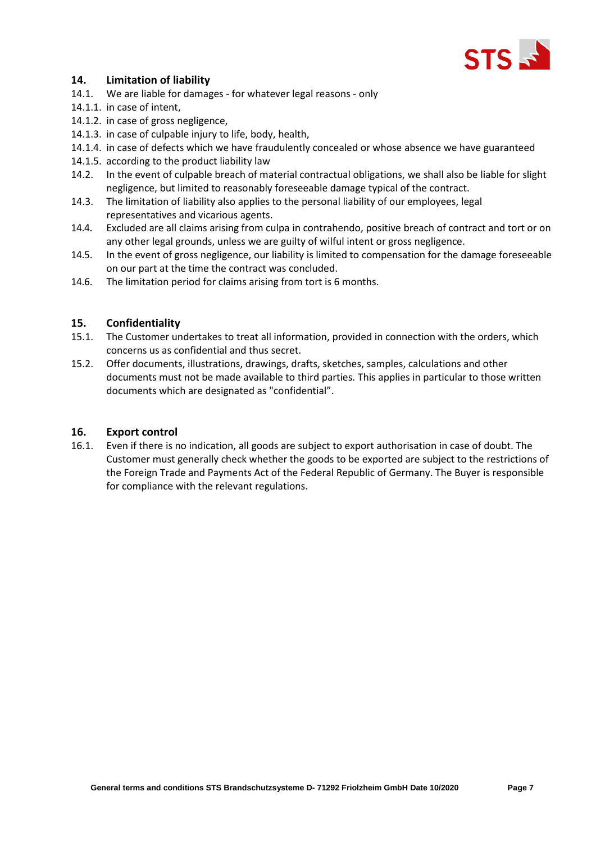

## **14. Limitation of liability**

- 14.1. We are liable for damages for whatever legal reasons only
- 14.1.1. in case of intent,
- 14.1.2. in case of gross negligence,
- 14.1.3. in case of culpable injury to life, body, health,
- 14.1.4. in case of defects which we have fraudulently concealed or whose absence we have guaranteed
- 14.1.5. according to the product liability law
- 14.2. In the event of culpable breach of material contractual obligations, we shall also be liable for slight negligence, but limited to reasonably foreseeable damage typical of the contract.
- 14.3. The limitation of liability also applies to the personal liability of our employees, legal representatives and vicarious agents.
- 14.4. Excluded are all claims arising from culpa in contrahendo, positive breach of contract and tort or on any other legal grounds, unless we are guilty of wilful intent or gross negligence.
- 14.5. In the event of gross negligence, our liability is limited to compensation for the damage foreseeable on our part at the time the contract was concluded.
- 14.6. The limitation period for claims arising from tort is 6 months.

#### **15. Confidentiality**

- 15.1. The Customer undertakes to treat all information, provided in connection with the orders, which concerns us as confidential and thus secret.
- 15.2. Offer documents, illustrations, drawings, drafts, sketches, samples, calculations and other documents must not be made available to third parties. This applies in particular to those written documents which are designated as "confidential".

#### **16. Export control**

16.1. Even if there is no indication, all goods are subject to export authorisation in case of doubt. The Customer must generally check whether the goods to be exported are subject to the restrictions of the Foreign Trade and Payments Act of the Federal Republic of Germany. The Buyer is responsible for compliance with the relevant regulations.